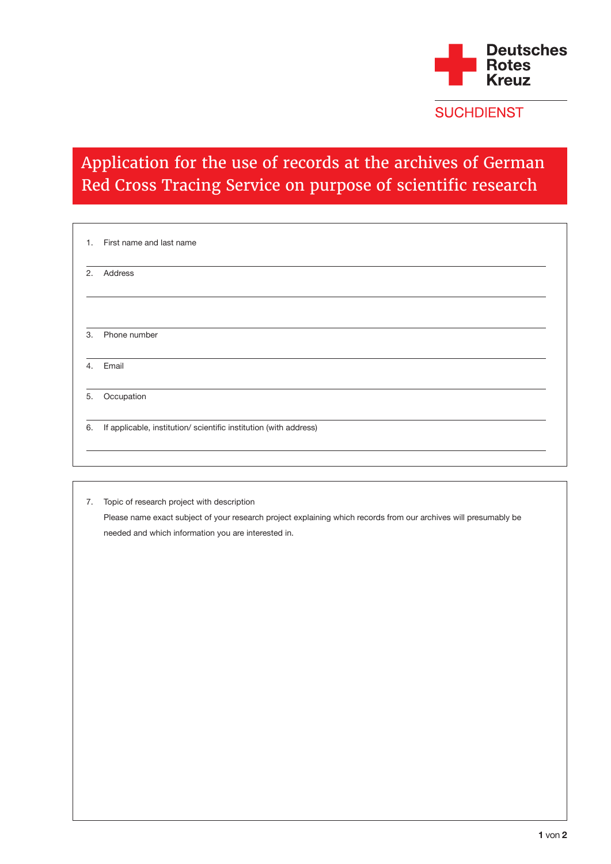

**SUCHDIENST** 

## Application for the use of records at the archives of German Red Cross Tracing Service on purpose of scientific research

| 1. | First name and last name                                          |
|----|-------------------------------------------------------------------|
| 2. | Address                                                           |
|    |                                                                   |
| 3. | Phone number                                                      |
| 4. | Email                                                             |
| 5. | Occupation                                                        |
| 6. | If applicable, institution/ scientific institution (with address) |

7. Topic of research project with description Please name exact subject of your research project explaining which records from our archives will presumably be needed and which information you are interested in.